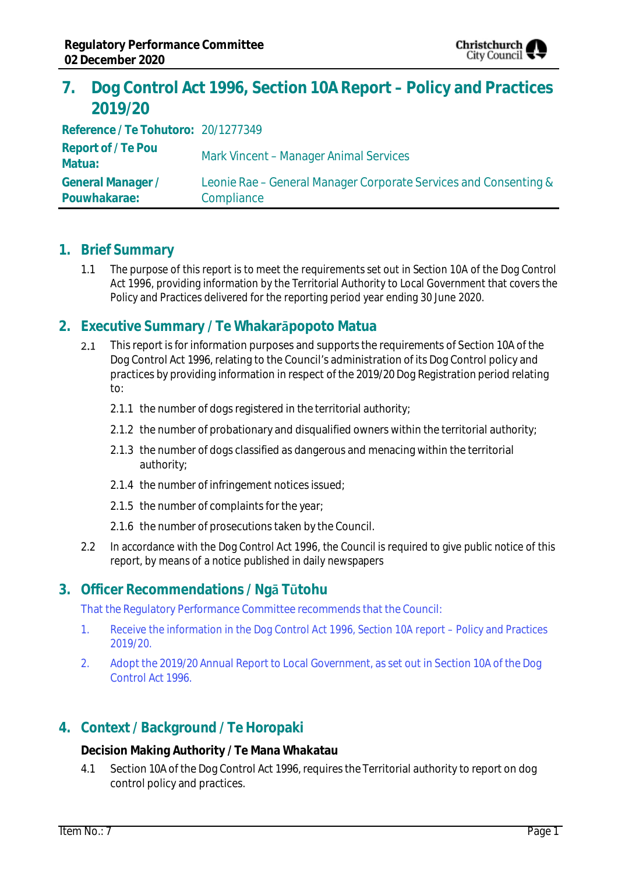

# **7. Dog Control Act 1996, Section 10A Report – Policy and Practices 2019/20**

**Reference / Te Tohutoro:** 20/1277349 **Report of / Te Pou Matua:** Mark Vincent – Manager Animal Services **General Manager / Pouwhakarae:** Leonie Rae – General Manager Corporate Services and Consenting & **Compliance** 

### **1. Brief Summary**

1.1 The purpose of this report is to meet the requirements set out in Section 10A of the Dog Control Act 1996, providing information by the Territorial Authority to Local Government that covers the Policy and Practices delivered for the reporting period year ending 30 June 2020.

## **2. Executive Summary / Te Whakarāpopoto Matua**

- $2.1$ This report is for information purposes and supports the requirements of Section 10A of the Dog Control Act 1996, relating to the Council's administration of its Dog Control policy and practices by providing information in respect of the 2019/20 Dog Registration period relating to:
	- 2.1.1 the number of dogs registered in the territorial authority;
	- 2.1.2 the number of probationary and disqualified owners within the territorial authority;
	- 2.1.3 the number of dogs classified as dangerous and menacing within the territorial authority;
	- 2.1.4 the number of infringement notices issued;
	- 2.1.5 the number of complaints for the year;
	- 2.1.6 the number of prosecutions taken by the Council.
- 2.2 In accordance with the Dog Control Act 1996, the Council is required to give public notice of this report, by means of a notice published in daily newspapers

### **3. Officer Recommendations / Ngā Tūtohu**

That the Regulatory Performance Committee recommends that the Council:

- 1. Receive the information in the Dog Control Act 1996, Section 10A report Policy and Practices 2019/20.
- 2. Adopt the 2019/20 Annual Report to Local Government, as set out in Section 10A of the Dog Control Act 1996.

### **4. Context / Background / Te Horopaki**

**Decision Making Authority / Te Mana Whakatau**

4.1 Section 10A of the Dog Control Act 1996, requires the Territorial authority to report on dog control policy and practices.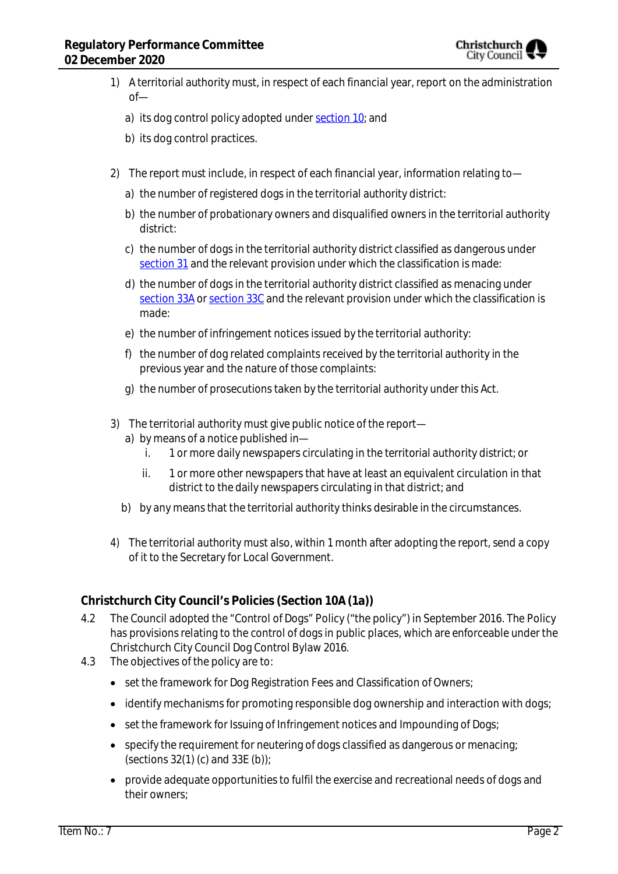

- 1) A territorial authority must, in respect of each financial year, report on the administration of
	- a) its dog control policy adopted under [section 10;](http://www.legislation.govt.nz/act/public/1996/0013/latest/link.aspx?id=DLM374494#DLM374494) and
	- b) its dog control practices.
- 2) The report must include, in respect of each financial year, information relating to
	- a) the number of registered dogs in the territorial authority district:
	- b) the number of probationary owners and disqualified owners in the territorial authority district:
	- c) the number of dogs in the territorial authority district classified as dangerous under [section 31](http://www.legislation.govt.nz/act/public/1996/0013/latest/link.aspx?id=DLM374887#DLM374887) and the relevant provision under which the classification is made:
	- d) the number of dogs in the territorial authority district classified as menacing under [section 33A](http://www.legislation.govt.nz/act/public/1996/0013/latest/link.aspx?id=DLM375100#DLM375100) or [section 33C](http://www.legislation.govt.nz/act/public/1996/0013/latest/link.aspx?id=DLM375107#DLM375107) and the relevant provision under which the classification is made:
	- e) the number of infringement notices issued by the territorial authority:
	- f) the number of dog related complaints received by the territorial authority in the previous year and the nature of those complaints:
	- g) the number of prosecutions taken by the territorial authority under this Act.
- 3) The territorial authority must give public notice of the report
	- a) by means of a notice published in
		- i. 1 or more daily newspapers circulating in the territorial authority district; or
		- ii. 1 or more other newspapers that have at least an equivalent circulation in that district to the daily newspapers circulating in that district; and
	- b) by any means that the territorial authority thinks desirable in the circumstances.
- 4) The territorial authority must also, within 1 month after adopting the report, send a copy of it to the Secretary for Local Government.

#### **Christchurch City Council's Policies (Section 10A (1a))**

- 4.2 The Council adopted the "Control of Dogs" Policy ("the policy") in September 2016. The Policy has provisions relating to the control of dogs in public places, which are enforceable under the Christchurch City Council Dog Control Bylaw 2016.
- 4.3 The objectives of the policy are to:
	- set the framework for Dog Registration Fees and Classification of Owners;
	- identify mechanisms for promoting responsible dog ownership and interaction with dogs;
	- set the framework for Issuing of Infringement notices and Impounding of Dogs;
	- specify the requirement for neutering of dogs classified as dangerous or menacing; (sections  $32(1)$  (c) and  $33E$  (b));
	- provide adequate opportunities to fulfil the exercise and recreational needs of dogs and their owners;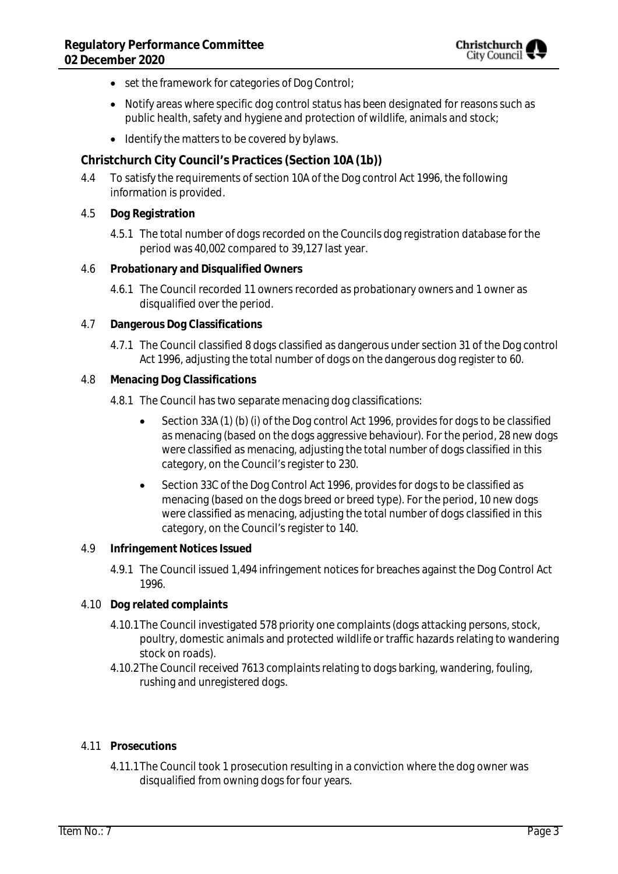- set the framework for categories of Dog Control;
- Notify areas where specific dog control status has been designated for reasons such as public health, safety and hygiene and protection of wildlife, animals and stock;
- Identify the matters to be covered by bylaws.

**Christchurch City Council's Practices (Section 10A (1b))**

- 4.4 To satisfy the requirements of section 10A of the Dog control Act 1996, the following information is provided.
- 4.5 **Dog Registration**
	- 4.5.1 The total number of dogs recorded on the Councils dog registration database for the period was 40,002 compared to 39,127 last year.
- 4.6 **Probationary and Disqualified Owners**
	- 4.6.1 The Council recorded 11 owners recorded as probationary owners and 1 owner as disqualified over the period.
- 4.7 **Dangerous Dog Classifications**
	- 4.7.1 The Council classified 8 dogs classified as dangerous under section 31 of the Dog control Act 1996, adjusting the total number of dogs on the dangerous dog register to 60.
- 4.8 **Menacing Dog Classifications**
	- 4.8.1 The Council has two separate menacing dog classifications:
		- Section 33A (1) (b) (i) of the Dog control Act 1996, provides for dogs to be classified as menacing (based on the dogs aggressive behaviour). For the period, 28 new dogs were classified as menacing, adjusting the total number of dogs classified in this category, on the Council's register to 230.
		- Section 33C of the Dog Control Act 1996, provides for dogs to be classified as menacing (based on the dogs breed or breed type). For the period, 10 new dogs were classified as menacing, adjusting the total number of dogs classified in this category, on the Council's register to 140.
- 4.9 **Infringement Notices Issued**
	- 4.9.1 The Council issued 1,494 infringement notices for breaches against the Dog Control Act 1996.
- 4.10 **Dog related complaints**
	- 4.10.1The Council investigated 578 priority one complaints (dogs attacking persons, stock, poultry, domestic animals and protected wildlife or traffic hazards relating to wandering stock on roads).
	- 4.10.2The Council received 7613 complaints relating to dogs barking, wandering, fouling, rushing and unregistered dogs.
- 4.11 **Prosecutions**
	- 4.11.1The Council took 1 prosecution resulting in a conviction where the dog owner was disqualified from owning dogs for four years.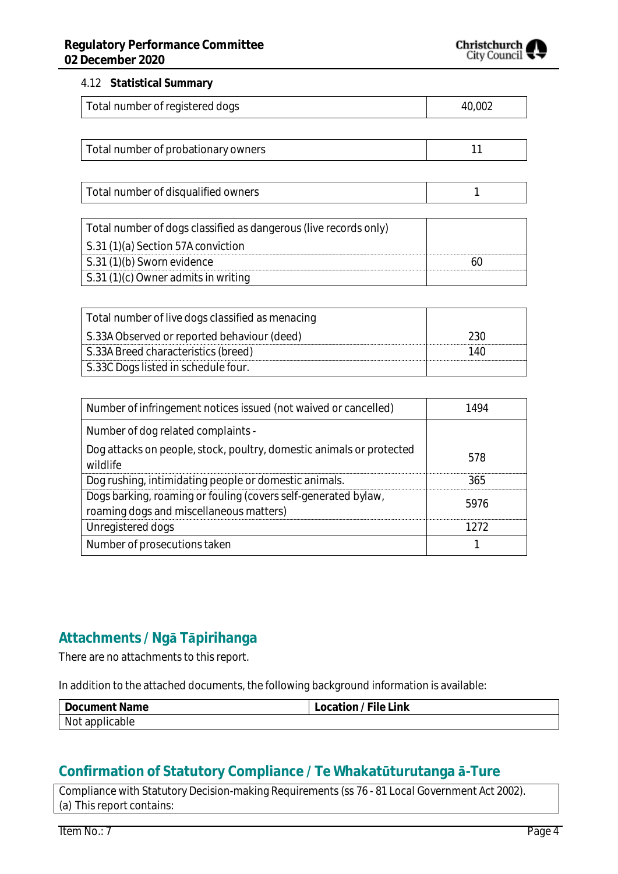

#### 4.12 **Statistical Summary**

| Total number of registered dogs | 40,002 |
|---------------------------------|--------|
|---------------------------------|--------|

| Total number of probationary owners |  |
|-------------------------------------|--|
|-------------------------------------|--|

| Total number of disqualified owners                              |  |
|------------------------------------------------------------------|--|
|                                                                  |  |
| Total number of dogs classified as dangerous (live records only) |  |
| S.31 (1)(a) Section 57A conviction                               |  |
| S.31 (1)(b) Sworn evidence                                       |  |
| S.31 (1)(c) Owner admits in writing                              |  |

| Total number of live dogs classified as menacing |     |
|--------------------------------------------------|-----|
| S.33A Observed or reported behaviour (deed)      | 230 |
| S.33A Breed characteristics (breed)              | 140 |
| S.33C Dogs listed in schedule four.              |     |

| Number of infringement notices issued (not waived or cancelled)                                           | 1494 |
|-----------------------------------------------------------------------------------------------------------|------|
| Number of dog related complaints -                                                                        |      |
| Dog attacks on people, stock, poultry, domestic animals or protected<br>wildlife                          | 578  |
| Dog rushing, intimidating people or domestic animals.                                                     | 365  |
| Dogs barking, roaming or fouling (covers self-generated bylaw,<br>roaming dogs and miscellaneous matters) | 5976 |
| Unregistered dogs                                                                                         | 1272 |
| Number of prosecutions taken                                                                              |      |

## **Attachments / Ngā Tāpirihanga**

There are no attachments to this report.

In addition to the attached documents, the following background information is available:

| Document Name  | ' File Link<br>Location/ |
|----------------|--------------------------|
| Not applicable |                          |

## **Confirmation of Statutory Compliance / Te Whakatūturutanga ā-Ture**

Compliance with Statutory Decision-making Requirements (ss 76 - 81 Local Government Act 2002). (a) This report contains: